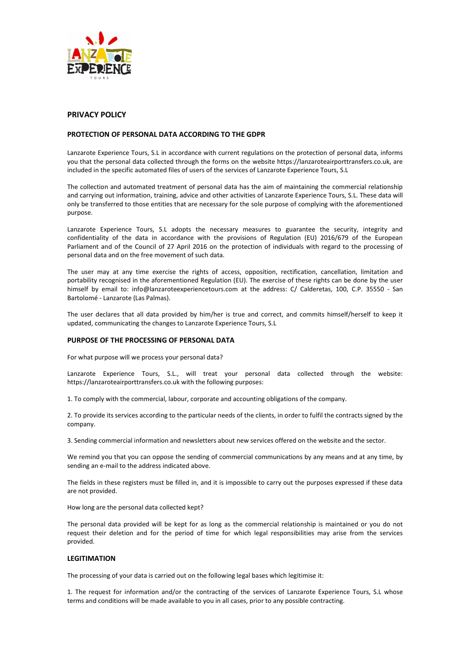

# PRIVACY POLICY

# PROTECTION OF PERSONAL DATA ACCORDING TO THE GDPR

Lanzarote Experience Tours, S.L in accordance with current regulations on the protection of personal data, informs you that the personal data collected through the forms on the website https://lanzaroteairporttransfers.co.uk, are included in the specific automated files of users of the services of Lanzarote Experience Tours, S.L

The collection and automated treatment of personal data has the aim of maintaining the commercial relationship and carrying out information, training, advice and other activities of Lanzarote Experience Tours, S.L. These data will only be transferred to those entities that are necessary for the sole purpose of complying with the aforementioned purpose.

Lanzarote Experience Tours, S.L adopts the necessary measures to guarantee the security, integrity and confidentiality of the data in accordance with the provisions of Regulation (EU) 2016/679 of the European Parliament and of the Council of 27 April 2016 on the protection of individuals with regard to the processing of personal data and on the free movement of such data.

The user may at any time exercise the rights of access, opposition, rectification, cancellation, limitation and portability recognised in the aforementioned Regulation (EU). The exercise of these rights can be done by the user himself by email to: info@lanzaroteexperiencetours.com at the address: C/ Calderetas, 100, C.P. 35550 - San Bartolomé - Lanzarote (Las Palmas).

The user declares that all data provided by him/her is true and correct, and commits himself/herself to keep it updated, communicating the changes to Lanzarote Experience Tours, S.L

## PURPOSE OF THE PROCESSING OF PERSONAL DATA

For what purpose will we process your personal data?

Lanzarote Experience Tours, S.L., will treat your personal data collected through the website: https://lanzaroteairporttransfers.co.uk with the following purposes:

1. To comply with the commercial, labour, corporate and accounting obligations of the company.

2. To provide its services according to the particular needs of the clients, in order to fulfil the contracts signed by the company.

3. Sending commercial information and newsletters about new services offered on the website and the sector.

We remind you that you can oppose the sending of commercial communications by any means and at any time, by sending an e-mail to the address indicated above.

The fields in these registers must be filled in, and it is impossible to carry out the purposes expressed if these data are not provided.

How long are the personal data collected kept?

The personal data provided will be kept for as long as the commercial relationship is maintained or you do not request their deletion and for the period of time for which legal responsibilities may arise from the services provided.

## **LEGITIMATION**

The processing of your data is carried out on the following legal bases which legitimise it:

1. The request for information and/or the contracting of the services of Lanzarote Experience Tours, S.L whose terms and conditions will be made available to you in all cases, prior to any possible contracting.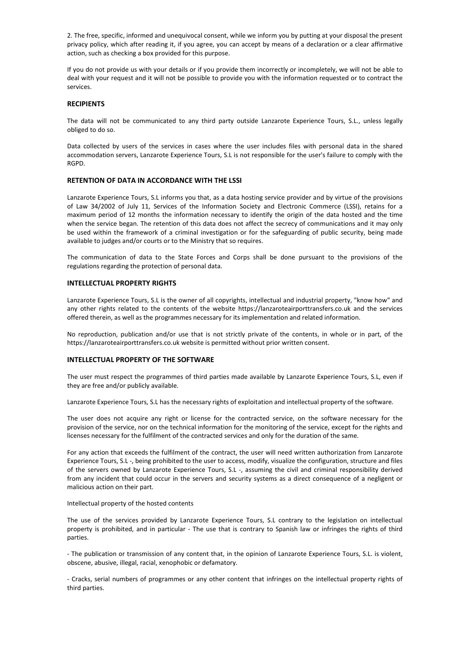2. The free, specific, informed and unequivocal consent, while we inform you by putting at your disposal the present privacy policy, which after reading it, if you agree, you can accept by means of a declaration or a clear affirmative action, such as checking a box provided for this purpose.

If you do not provide us with your details or if you provide them incorrectly or incompletely, we will not be able to deal with your request and it will not be possible to provide you with the information requested or to contract the services.

### **RECIPIENTS**

The data will not be communicated to any third party outside Lanzarote Experience Tours, S.L., unless legally obliged to do so.

Data collected by users of the services in cases where the user includes files with personal data in the shared accommodation servers, Lanzarote Experience Tours, S.L is not responsible for the user's failure to comply with the RGPD.

### RETENTION OF DATA IN ACCORDANCE WITH THE LSSI

Lanzarote Experience Tours, S.L informs you that, as a data hosting service provider and by virtue of the provisions of Law 34/2002 of July 11, Services of the Information Society and Electronic Commerce (LSSI), retains for a maximum period of 12 months the information necessary to identify the origin of the data hosted and the time when the service began. The retention of this data does not affect the secrecy of communications and it may only be used within the framework of a criminal investigation or for the safeguarding of public security, being made available to judges and/or courts or to the Ministry that so requires.

The communication of data to the State Forces and Corps shall be done pursuant to the provisions of the regulations regarding the protection of personal data.

#### INTELLECTUAL PROPERTY RIGHTS

Lanzarote Experience Tours, S.L is the owner of all copyrights, intellectual and industrial property, "know how" and any other rights related to the contents of the website https://lanzaroteairporttransfers.co.uk and the services offered therein, as well as the programmes necessary for its implementation and related information.

No reproduction, publication and/or use that is not strictly private of the contents, in whole or in part, of the https://lanzaroteairporttransfers.co.uk website is permitted without prior written consent.

## INTELLECTUAL PROPERTY OF THE SOFTWARE

The user must respect the programmes of third parties made available by Lanzarote Experience Tours, S.L, even if they are free and/or publicly available.

Lanzarote Experience Tours, S.L has the necessary rights of exploitation and intellectual property of the software.

The user does not acquire any right or license for the contracted service, on the software necessary for the provision of the service, nor on the technical information for the monitoring of the service, except for the rights and licenses necessary for the fulfilment of the contracted services and only for the duration of the same.

For any action that exceeds the fulfilment of the contract, the user will need written authorization from Lanzarote Experience Tours, S.L -, being prohibited to the user to access, modify, visualize the configuration, structure and files of the servers owned by Lanzarote Experience Tours, S.L -, assuming the civil and criminal responsibility derived from any incident that could occur in the servers and security systems as a direct consequence of a negligent or malicious action on their part.

#### Intellectual property of the hosted contents

The use of the services provided by Lanzarote Experience Tours, S.L contrary to the legislation on intellectual property is prohibited, and in particular - The use that is contrary to Spanish law or infringes the rights of third parties.

- The publication or transmission of any content that, in the opinion of Lanzarote Experience Tours, S.L. is violent, obscene, abusive, illegal, racial, xenophobic or defamatory.

- Cracks, serial numbers of programmes or any other content that infringes on the intellectual property rights of third parties.